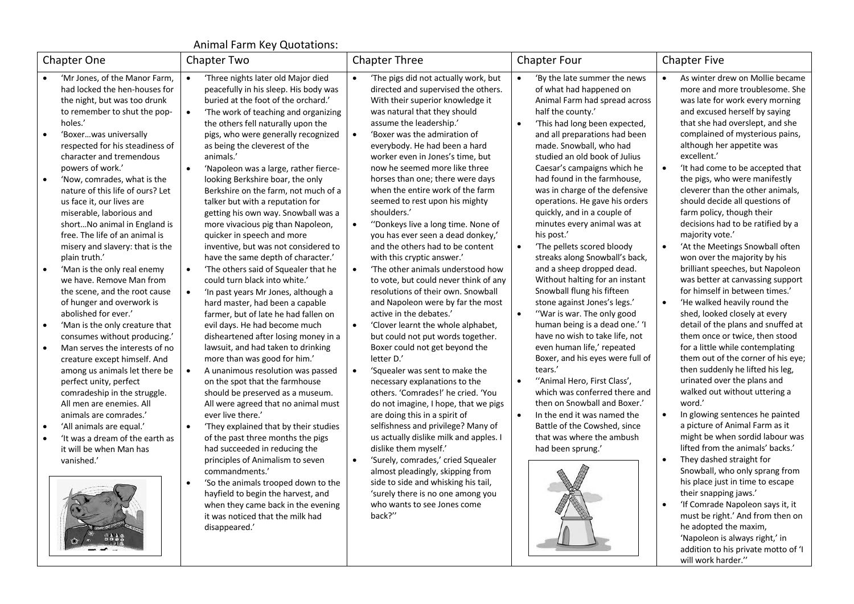## Animal Farm Key Quotations:

| <b>Chapter One</b>                                                                                                                                                                                                                                                                                                                                                                                                                                                                                                                                                                                                                                                                                                                                                                                                                                                                                                                                                                                                                                                                                                                  | Chapter Two                                                                                                                                                                                                                                                                                                                                                                                                                                                                                                                                                                                                                                                                                                                                                                                                                                                                                                                                                                                                                                                                                                                                                                                                                                                                                                                                                                                                                                                                                                                                                                                                  | <b>Chapter Three</b>                                                                                                                                                                                                                                                                                                                                                                                                                                                                                                                                                                                                                                                                                                                                                                                                                                                                                                                                                                                                                                                                                                                                                                                                                                                                                                                                                                                                                                                          | <b>Chapter Four</b>                                                                                                                                                                                                                                                                                                                                                                                                                                                                                                                                                                                                                                                                                                                                                                                                                                                                                                                                                                                                                                                                                        | <b>Chapter Five</b>                                                                                                                                                                                                                                                                                                                                                                                                                                                                                                                                                                                                                                                                                                                                                                                                                                                                                                                                                                                                                                                                                                                                                                                                                                                                                                                                                                                                                                                                                        |
|-------------------------------------------------------------------------------------------------------------------------------------------------------------------------------------------------------------------------------------------------------------------------------------------------------------------------------------------------------------------------------------------------------------------------------------------------------------------------------------------------------------------------------------------------------------------------------------------------------------------------------------------------------------------------------------------------------------------------------------------------------------------------------------------------------------------------------------------------------------------------------------------------------------------------------------------------------------------------------------------------------------------------------------------------------------------------------------------------------------------------------------|--------------------------------------------------------------------------------------------------------------------------------------------------------------------------------------------------------------------------------------------------------------------------------------------------------------------------------------------------------------------------------------------------------------------------------------------------------------------------------------------------------------------------------------------------------------------------------------------------------------------------------------------------------------------------------------------------------------------------------------------------------------------------------------------------------------------------------------------------------------------------------------------------------------------------------------------------------------------------------------------------------------------------------------------------------------------------------------------------------------------------------------------------------------------------------------------------------------------------------------------------------------------------------------------------------------------------------------------------------------------------------------------------------------------------------------------------------------------------------------------------------------------------------------------------------------------------------------------------------------|-------------------------------------------------------------------------------------------------------------------------------------------------------------------------------------------------------------------------------------------------------------------------------------------------------------------------------------------------------------------------------------------------------------------------------------------------------------------------------------------------------------------------------------------------------------------------------------------------------------------------------------------------------------------------------------------------------------------------------------------------------------------------------------------------------------------------------------------------------------------------------------------------------------------------------------------------------------------------------------------------------------------------------------------------------------------------------------------------------------------------------------------------------------------------------------------------------------------------------------------------------------------------------------------------------------------------------------------------------------------------------------------------------------------------------------------------------------------------------|------------------------------------------------------------------------------------------------------------------------------------------------------------------------------------------------------------------------------------------------------------------------------------------------------------------------------------------------------------------------------------------------------------------------------------------------------------------------------------------------------------------------------------------------------------------------------------------------------------------------------------------------------------------------------------------------------------------------------------------------------------------------------------------------------------------------------------------------------------------------------------------------------------------------------------------------------------------------------------------------------------------------------------------------------------------------------------------------------------|------------------------------------------------------------------------------------------------------------------------------------------------------------------------------------------------------------------------------------------------------------------------------------------------------------------------------------------------------------------------------------------------------------------------------------------------------------------------------------------------------------------------------------------------------------------------------------------------------------------------------------------------------------------------------------------------------------------------------------------------------------------------------------------------------------------------------------------------------------------------------------------------------------------------------------------------------------------------------------------------------------------------------------------------------------------------------------------------------------------------------------------------------------------------------------------------------------------------------------------------------------------------------------------------------------------------------------------------------------------------------------------------------------------------------------------------------------------------------------------------------------|
| 'Mr Jones, of the Manor Farm,<br>had locked the hen-houses for<br>the night, but was too drunk<br>to remember to shut the pop-<br>holes.'<br>'Boxerwas universally<br>$\bullet$<br>respected for his steadiness of<br>character and tremendous<br>powers of work.'<br>'Now, comrades, what is the<br>$\bullet$<br>nature of this life of ours? Let<br>us face it, our lives are<br>miserable, laborious and<br>shortNo animal in England is<br>free. The life of an animal is<br>misery and slavery: that is the<br>plain truth.'<br>'Man is the only real enemy<br>$\bullet$<br>we have. Remove Man from<br>the scene, and the root cause<br>of hunger and overwork is<br>abolished for ever.'<br>'Man is the only creature that<br>$\bullet$<br>consumes without producing.'<br>Man serves the interests of no<br>$\bullet$<br>creature except himself. And<br>among us animals let there be<br>perfect unity, perfect<br>comradeship in the struggle.<br>All men are enemies. All<br>animals are comrades.'<br>'All animals are equal.'<br>$\bullet$<br>'It was a dream of the earth as<br>it will be when Man has<br>vanished.' | 'Three nights later old Major died<br>$\bullet$<br>peacefully in his sleep. His body was<br>buried at the foot of the orchard.'<br>'The work of teaching and organizing<br>$\bullet$<br>the others fell naturally upon the<br>pigs, who were generally recognized<br>as being the cleverest of the<br>animals.'<br>'Napoleon was a large, rather fierce-<br>$\bullet$<br>looking Berkshire boar, the only<br>Berkshire on the farm, not much of a<br>talker but with a reputation for<br>getting his own way. Snowball was a<br>more vivacious pig than Napoleon,<br>quicker in speech and more<br>inventive, but was not considered to<br>have the same depth of character.'<br>'The others said of Squealer that he<br>$\bullet$<br>could turn black into white.'<br>'In past years Mr Jones, although a<br>$\bullet$<br>hard master, had been a capable<br>farmer, but of late he had fallen on<br>evil days. He had become much<br>disheartened after losing money in a<br>lawsuit, and had taken to drinking<br>more than was good for him.'<br>A unanimous resolution was passed<br>$\bullet$<br>on the spot that the farmhouse<br>should be preserved as a museum.<br>All were agreed that no animal must<br>ever live there.'<br>'They explained that by their studies<br>$\bullet$<br>of the past three months the pigs<br>had succeeded in reducing the<br>principles of Animalism to seven<br>commandments.'<br>'So the animals trooped down to the<br>$\bullet$<br>hayfield to begin the harvest, and<br>when they came back in the evening<br>it was noticed that the milk had<br>disappeared.' | 'The pigs did not actually work, but<br>directed and supervised the others.<br>With their superior knowledge it<br>was natural that they should<br>assume the leadership.'<br>'Boxer was the admiration of<br>$\bullet$<br>everybody. He had been a hard<br>worker even in Jones's time, but<br>now he seemed more like three<br>horses than one; there were days<br>when the entire work of the farm<br>seemed to rest upon his mighty<br>shoulders.'<br>"Donkeys live a long time. None of<br>$\bullet$<br>you has ever seen a dead donkey,'<br>and the others had to be content<br>with this cryptic answer.'<br>'The other animals understood how<br>$\bullet$<br>to vote, but could never think of any<br>resolutions of their own. Snowball<br>and Napoleon were by far the most<br>active in the debates.'<br>'Clover learnt the whole alphabet,<br>$\bullet$<br>but could not put words together.<br>Boxer could not get beyond the<br>letter D.'<br>'Squealer was sent to make the<br>$\bullet$<br>necessary explanations to the<br>others. 'Comrades!' he cried. 'You<br>do not imagine, I hope, that we pigs<br>are doing this in a spirit of<br>selfishness and privilege? Many of<br>us actually dislike milk and apples. I<br>dislike them myself.'<br>'Surely, comrades,' cried Squealer<br>$\bullet$<br>almost pleadingly, skipping from<br>side to side and whisking his tail,<br>'surely there is no one among you<br>who wants to see Jones come<br>back?" | 'By the late summer the news<br>of what had happened on<br>Animal Farm had spread across<br>half the county.'<br>'This had long been expected,<br>$\bullet$<br>and all preparations had been<br>made. Snowball, who had<br>studied an old book of Julius<br>Caesar's campaigns which he<br>had found in the farmhouse,<br>was in charge of the defensive<br>operations. He gave his orders<br>quickly, and in a couple of<br>minutes every animal was at<br>his post.'<br>'The pellets scored bloody<br>streaks along Snowball's back,<br>and a sheep dropped dead.<br>Without halting for an instant<br>Snowball flung his fifteen<br>stone against Jones's legs.'<br>"War is war. The only good<br>$\bullet$<br>human being is a dead one.' 'I<br>have no wish to take life, not<br>even human life,' repeated<br>Boxer, and his eyes were full of<br>tears.'<br>"Animal Hero, First Class',<br>$\bullet$<br>which was conferred there and<br>then on Snowball and Boxer.'<br>In the end it was named the<br>$\bullet$<br>Battle of the Cowshed, since<br>that was where the ambush<br>had been sprung.' | As winter drew on Mollie became<br>more and more troublesome. She<br>was late for work every morning<br>and excused herself by saying<br>that she had overslept, and she<br>complained of mysterious pains,<br>although her appetite was<br>excellent.'<br>'It had come to be accepted that<br>$\bullet$<br>the pigs, who were manifestly<br>cleverer than the other animals,<br>should decide all questions of<br>farm policy, though their<br>decisions had to be ratified by a<br>majority vote.'<br>'At the Meetings Snowball often<br>won over the majority by his<br>brilliant speeches, but Napoleon<br>was better at canvassing support<br>for himself in between times.'<br>'He walked heavily round the<br>$\bullet$<br>shed, looked closely at every<br>detail of the plans and snuffed at<br>them once or twice, then stood<br>for a little while contemplating<br>them out of the corner of his eye;<br>then suddenly he lifted his leg,<br>urinated over the plans and<br>walked out without uttering a<br>word.'<br>In glowing sentences he painted<br>a picture of Animal Farm as it<br>might be when sordid labour was<br>lifted from the animals' backs.'<br>They dashed straight for<br>$\bullet$<br>Snowball, who only sprang from<br>his place just in time to escape<br>their snapping jaws.'<br>'If Comrade Napoleon says it, it<br>$\bullet$<br>must be right.' And from then on<br>he adopted the maxim,<br>'Napoleon is always right,' in<br>addition to his private motto of 'I |
|                                                                                                                                                                                                                                                                                                                                                                                                                                                                                                                                                                                                                                                                                                                                                                                                                                                                                                                                                                                                                                                                                                                                     |                                                                                                                                                                                                                                                                                                                                                                                                                                                                                                                                                                                                                                                                                                                                                                                                                                                                                                                                                                                                                                                                                                                                                                                                                                                                                                                                                                                                                                                                                                                                                                                                              |                                                                                                                                                                                                                                                                                                                                                                                                                                                                                                                                                                                                                                                                                                                                                                                                                                                                                                                                                                                                                                                                                                                                                                                                                                                                                                                                                                                                                                                                               |                                                                                                                                                                                                                                                                                                                                                                                                                                                                                                                                                                                                                                                                                                                                                                                                                                                                                                                                                                                                                                                                                                            | will work harder."                                                                                                                                                                                                                                                                                                                                                                                                                                                                                                                                                                                                                                                                                                                                                                                                                                                                                                                                                                                                                                                                                                                                                                                                                                                                                                                                                                                                                                                                                         |